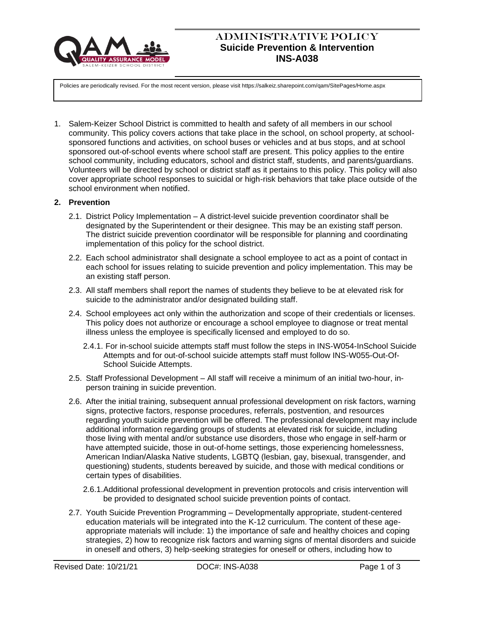

# ADMINISTRATIVE POLICY **Suicide Prevention & Intervention INS-A038**

Policies are periodically revised. For the most recent version, please visit https://salkeiz.sharepoint.com/qam/SitePages/Home.aspx

1. Salem-Keizer School District is committed to health and safety of all members in our school community. This policy covers actions that take place in the school, on school property, at schoolsponsored functions and activities, on school buses or vehicles and at bus stops, and at school sponsored out-of-school events where school staff are present. This policy applies to the entire school community, including educators, school and district staff, students, and parents/guardians. Volunteers will be directed by school or district staff as it pertains to this policy. This policy will also cover appropriate school responses to suicidal or high-risk behaviors that take place outside of the school environment when notified.

## **2. Prevention**

- 2.1. District Policy Implementation A district-level suicide prevention coordinator shall be designated by the Superintendent or their designee. This may be an existing staff person. The district suicide prevention coordinator will be responsible for planning and coordinating implementation of this policy for the school district.
- 2.2. Each school administrator shall designate a school employee to act as a point of contact in each school for issues relating to suicide prevention and policy implementation. This may be an existing staff person.
- 2.3. All staff members shall report the names of students they believe to be at elevated risk for suicide to the administrator and/or designated building staff.
- 2.4. School employees act only within the authorization and scope of their credentials or licenses. This policy does not authorize or encourage a school employee to diagnose or treat mental illness unless the employee is specifically licensed and employed to do so.
	- 2.4.1. For in-school suicide attempts staff must follow the steps in INS-W054-InSchool Suicide Attempts and for out-of-school suicide attempts staff must follow INS-W055-Out-Of-School Suicide Attempts.
- 2.5. Staff Professional Development All staff will receive a minimum of an initial two-hour, inperson training in suicide prevention.
- 2.6. After the initial training, subsequent annual professional development on risk factors, warning signs, protective factors, response procedures, referrals, postvention, and resources regarding youth suicide prevention will be offered. The professional development may include additional information regarding groups of students at elevated risk for suicide, including those living with mental and/or substance use disorders, those who engage in self-harm or have attempted suicide, those in out-of-home settings, those experiencing homelessness, American Indian/Alaska Native students, LGBTQ (lesbian, gay, bisexual, transgender, and questioning) students, students bereaved by suicide, and those with medical conditions or certain types of disabilities.
	- 2.6.1.Additional professional development in prevention protocols and crisis intervention will be provided to designated school suicide prevention points of contact.
- 2.7. Youth Suicide Prevention Programming Developmentally appropriate, student-centered education materials will be integrated into the K-12 curriculum. The content of these ageappropriate materials will include: 1) the importance of safe and healthy choices and coping strategies, 2) how to recognize risk factors and warning signs of mental disorders and suicide in oneself and others, 3) help-seeking strategies for oneself or others, including how to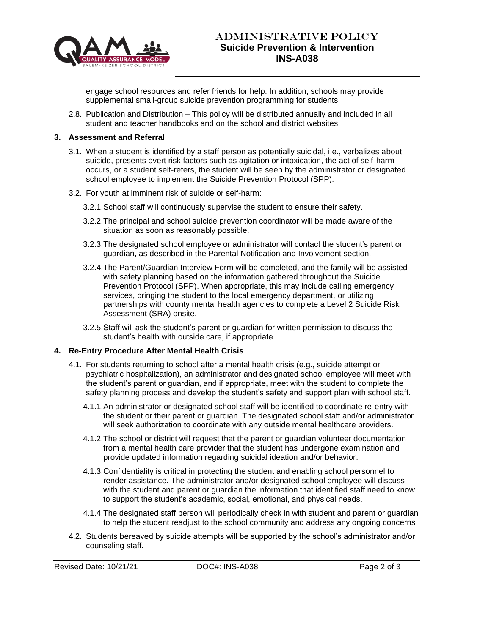

## ADMINISTRATIVE POLICY **Suicide Prevention & Intervention INS-A038**

engage school resources and refer friends for help. In addition, schools may provide supplemental small-group suicide prevention programming for students.

2.8. Publication and Distribution – This policy will be distributed annually and included in all student and teacher handbooks and on the school and district websites.

## **3. Assessment and Referral**

- 3.1. When a student is identified by a staff person as potentially suicidal, i.e., verbalizes about suicide, presents overt risk factors such as agitation or intoxication, the act of self-harm occurs, or a student self-refers, the student will be seen by the administrator or designated school employee to implement the Suicide Prevention Protocol (SPP).
- 3.2. For youth at imminent risk of suicide or self-harm:
	- 3.2.1.School staff will continuously supervise the student to ensure their safety.
	- 3.2.2.The principal and school suicide prevention coordinator will be made aware of the situation as soon as reasonably possible.
	- 3.2.3.The designated school employee or administrator will contact the student's parent or guardian, as described in the Parental Notification and Involvement section.
	- 3.2.4.The Parent/Guardian Interview Form will be completed, and the family will be assisted with safety planning based on the information gathered throughout the Suicide Prevention Protocol (SPP). When appropriate, this may include calling emergency services, bringing the student to the local emergency department, or utilizing partnerships with county mental health agencies to complete a Level 2 Suicide Risk Assessment (SRA) onsite.
	- 3.2.5.Staff will ask the student's parent or guardian for written permission to discuss the student's health with outside care, if appropriate.

## **4. Re-Entry Procedure After Mental Health Crisis**

- 4.1. For students returning to school after a mental health crisis (e.g., suicide attempt or psychiatric hospitalization), an administrator and designated school employee will meet with the student's parent or guardian, and if appropriate, meet with the student to complete the safety planning process and develop the student's safety and support plan with school staff.
	- 4.1.1.An administrator or designated school staff will be identified to coordinate re-entry with the student or their parent or guardian. The designated school staff and/or administrator will seek authorization to coordinate with any outside mental healthcare providers.
	- 4.1.2.The school or district will request that the parent or guardian volunteer documentation from a mental health care provider that the student has undergone examination and provide updated information regarding suicidal ideation and/or behavior.
	- 4.1.3.Confidentiality is critical in protecting the student and enabling school personnel to render assistance. The administrator and/or designated school employee will discuss with the student and parent or guardian the information that identified staff need to know to support the student's academic, social, emotional, and physical needs.
	- 4.1.4.The designated staff person will periodically check in with student and parent or guardian to help the student readjust to the school community and address any ongoing concerns
- 4.2. Students bereaved by suicide attempts will be supported by the school's administrator and/or counseling staff.

Revised Date: 10/21/21 **DOC#: INS-A038** Page 2 of 3